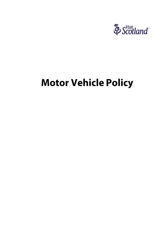

# **Motor Vehicle Policy**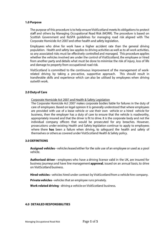#### 1.0 Purpose

The purpose of this procedure is to help ensure VisitScotland meets its obligations to protect staff and others by Managing Occupational Road Risk (MORR). The procedure is based on Scottish Government and RoSPA guidelines for managing road risk aligned with The Corporate Homicide Act 2007 and other health and safety legislation.

Employees who drive for work have a higher accident rate than the general driving population. Health and safety law applies to driving activities as well as to all work activities, so any associated risks must be effectively controlled and managed. This procedure applies whether the vehicles involved are under the control of VisitScotland, the employee or hired from another party and details what must be done to minimise the risk of injury, loss of life and damage to property from occupational road risk.

VisitScotland is committed to the continuous improvement of the management of workrelated driving by taking a pro-active, supportive approach. This should result in transferable skills and experience which can also be utilised by employees when driving outwith work.

## 2.0 Duty of Care

Corporate Homicide Act 2007 and Health & Safety Legislation

The Corporate Homicide Act 2007 makes corporate bodies liable for failures in the duty of care of employees. Based on legal opinion it is generally understood that where employees are provided with use of a lease vehicle or use their own vehicle or a hired vehicle for business, then the employer has a duty of care to ensure that the vehicle is roadworthy, appropriately insured and that the driver is fit to drive. It is the corporate body and not the individual company officers that would be prosecuted for any breaches. However, prosecutions under existing Health and Safety legislation continue to apply to employees where there has been a failure when driving, to safeguard the health and safety of themselves or others as covered under VisitScotland Health & Safety policy.

# **3.0 DEFINITIONS**

Assigned vehicles - vehicles leased either for the sole use of an employee or used as a pool vehicle.

Authorised driver - employees who have a driving licence valid in the UK, are insured for business journeys and have line management **approval**, issued on an annual basis, to drive on VisitScotland business.

**Hired vehicles** - vehicles hired under contract by VisitScotland from a vehicle hire company.

Private vehicles - vehicles that an employee runs privately.

Work related driving - driving a vehicle on VisitScotland business.

## **4.0 DETAILED RESPONSIBILITIES**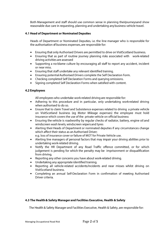Both Management and staff should use common sense in planning theirjourneysand show reasonable due care in requesting, planning and undertaking any business vehicle travel.

# 4.1 Head of Department or Nominated Deputies

Heads of Department or Nominated Deputies, i.e. the line manager who is responsible for the authorisation of business expenses, are responsible for:

- Ensuring that only Authorised Drivers are permitted to drive on VisitScotland business.  $\bullet$
- Ensuring that as part of routine journey planning risks associated with work-related  $\bullet$ driving activities are assessed
- Supporting a no-blame culture by encouraging all staff to report any accident, incident  $\bullet$ or near miss.
- Ensuring that staff undertake any relevant identified training.  $\bullet$
- Ensuring potential Authorised Drivers complete the Self Declaration Form.
- Checking completed Self Declaration Forms and querying omissions.
- Signing completed Self Declaration Forms when satisfied with content.  $\bullet$

# **4.2 Employees**

All employees who undertake work-related driving are responsible for:

- Adhering to this procedure and in particular, only undertaking work-related driving when authorised to do so.
- Ensure that to claim Travel and Subsistence expenses related to driving a private vehicle  $\bullet$ on VisitScotland business (eq Motor Mileage expenses) the employee must hold insurance which covers the use of the private vehicle on official business
- Ensuring the vehicle is roadworthy by regular checks of radiator, battery, engine oil and  $\bullet$ windscreen wash levels, windscreen wipers and tyres
- Alerting their Heads of Department or nominated deputies if any circumstances change  $\bullet$ which affect their status as an Authorised Driver;
	- e.g. loss of insurance cover or failure of MOT for Private Vehicle use.
- Alerting line managers of personal factors that may impair your driving abilities prior to  $\bullet$ undertaking work-related driving.
- Notify the HR Department of any Road Traffic offence committed, or for which  $\bullet$ judgement is pending for which the penalty may be imprisonment or disqualification from driving.
- Reporting any other concerns you have about work-related driving.  $\bullet$
- Undertaking any appropriate identified training.  $\bullet$
- Reporting all vehicle-related accidents/incidents and near misses whilst driving on  $\bullet$ VisitScotland business.
- Completing an annual Self-Declaration Form in confirmation of meeting Authorised  $\bullet$ Driver criteria.

# 4.3 The Health & Safety Manager and Facilities Executive, Health & Safety

The Health & Safety Manager and Facilities Executive, Health & Safety, are responsible for: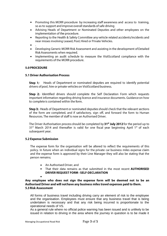- Promoting this MORR procedure by increasing staff awareness and access to training,  $\bullet$ so as to support and improve overall standards of safe driving
- Advising Heads of Department or Nominated Deputies and other employees on the  $\bullet$ implementation of the procedure.
- Reporting to the Health & Safety Committee any vehicle related accidents/incidents and  $\bullet$ near misses involving Leased, Pool, Hired or Private Vehicles.
- $\bullet$
- Developing Generic MORR Risk Assessment and assisting in the development of Detailed  $\bullet$ Risk Assessments when required.
- $\bullet$ Implementing an audit schedule to measure the VisitScotland compliance with the requirements of the MORR procedure.

## **5.0 PROCEDURE**

#### **5.1 Driver Authorisation Process**

**Step 1:-** Heads of Department or nominated deputies are required to identify potential drivers of pool, hire or private vehicles on VisitScotland business.

Step 2;- Identified drivers should complete the Self Declaration Form which requests important information regarding driving licence and insurance documents. Guidance on how to complete is contained within the form.

Step 3;- Heads of Department or nominated deputies should check that the relevant sections of the form are completed, and if satisfactory, sign off, and forward the form to Human Resources. The member of staff is now an Authorised Driver.

The Driver Authorisation process should be completed by 31<sup>st</sup> July 2012 for the period up to 31<sup>st</sup> March 2014 and thereafter is valid for one fiscal year beginning April 1<sup>st</sup> of each subsequent year.

## **5.2 Expense Submission**

The expense form for the organisation will be altered to reflect the requirements of this policy. In future when an individual signs for the private car business miles expense claim and the expense form is approved by their Line Manager they will also be stating that the person remains;

- An Authorised Driver, and
- That their data remains as that submitted in the most recent **AUTHORISED DRIVER REQUEST FORM - SELF-DECLARATION**

 $\bullet$ 

# Any employee who does not sign the expense form will be deemed not to be an Authorised Driver and will not have any business miles travel expenses paid to them. **5.3 Risk Assessment**

All forms of business travel including driving carry an element of risk to the employee and the organisation. Employees must ensure that any business travel that is being undertaken is necessary and that any risk being incurred is proportionate to the operational needs of VS.

As a general rule where no official police warning has been issued and is unlikely to be issued in relation to driving in the area where the journey in question is to be made it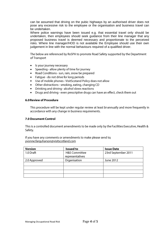can be assumed that driving on the pubic highways by an authorised driver does not pose any excessive risk to the employee or the organisation and business travel can be undertaken.

Where police warnings have been issued e.g. that essential travel only should be undertaken, then employees should seek guidance from their line manager that any proposed business travel is deemed necessary and proportionate to the perceived risks. Where line manager/HOD is not available the Employee should use their own judgement in line with the normal behaviours required of a qualified driver.

The below are referenced by RoSPA to promote Road Safety supported by the Department of Transport

- Is your journey necessary
- Speeding allow plenty of time for journey  $\bullet$
- Road Conditions sun, rain, snow be prepared  $\bullet$
- Fatigue do not drive for long periods  $\bullet$
- Use of mobile phones VisitScotand Policy does not allow
- Other distractions smoking, eating, changing CD
- Drinking and driving alcohol slows reactions  $\bullet$
- Drugs and driving even prescriptive drugs can have an effect, check them out  $\bullet$

#### **6.0 Review of Procedure**

This procedure will be kept under regular review at least bi-annually and more frequently in accordance with any change in business requirements.

#### **7.0 Document Control**

This is a controlled document amendments to be made only by the Facilities Executive, Health & Safety.

If you have any comments or amendments to make please send to; yvonne.farquharson@visitscotland.com

| <b>Version</b> | <b>Issued to</b> | <b>Issue Date</b>   |
|----------------|------------------|---------------------|
| 1.0 Draft      | H&S Committee    | 23rd September 2011 |
|                | representatives  |                     |
| 2.0 Approved   | Organisation     | June 2012           |
|                |                  |                     |
|                |                  |                     |
|                |                  |                     |
|                |                  |                     |